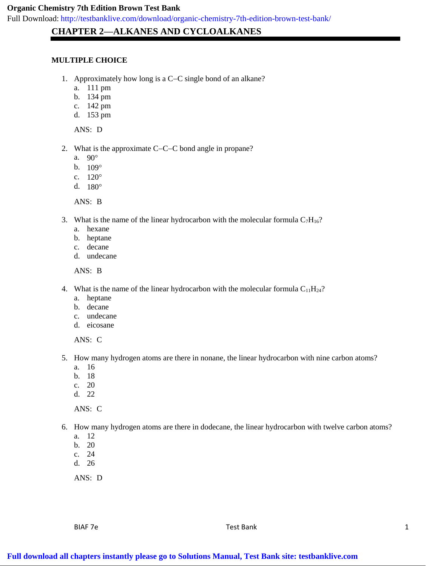Full Download: http://testbanklive.com/download/organic-chemistry-7th-edition-brown-test-bank/

# **CHAPTER 2—ALKANES AND CYCLOALKANES**

### **MULTIPLE CHOICE**

- 1. Approximately how long is a  $C-C$  single bond of an alkane?
	- a. 111 pm
	- b. 134 pm
	- c. 142 pm
	- d. 153 pm

ANS: D

- 2. What is the approximate  $C-C-C$  bond angle in propane?
	- a. 90
	- b.  $109^{\circ}$
	- c.  $120^{\circ}$
	- d. 180

ANS: B

- 3. What is the name of the linear hydrocarbon with the molecular formula  $C_7H_{16}$ ?
	- a. hexane
	- b. heptane
	- c. decane
	- d. undecane

ANS: B

- 4. What is the name of the linear hydrocarbon with the molecular formula  $C_{11}H_{24}$ ?
	- a. heptane
	- b. decane
	- c. undecane
	- d. eicosane

ANS: C

- 5. How many hydrogen atoms are there in nonane, the linear hydrocarbon with nine carbon atoms?
	- a. 16
	- b. 18
	- c. 20
	- d. 22

ANS: C

6. How many hydrogen atoms are there in dodecane, the linear hydrocarbon with twelve carbon atoms?

- a. 12
- b. 20
- c. 24
- d. 26

ANS: D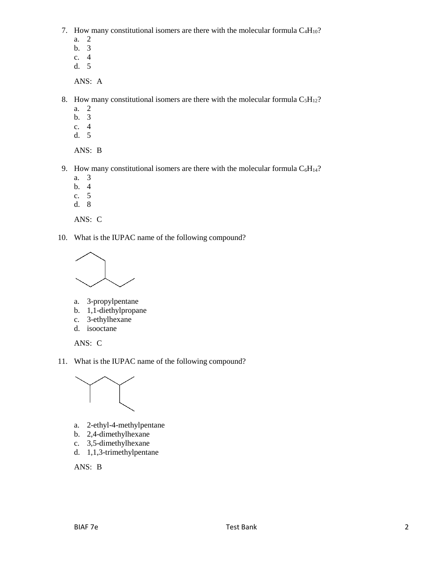7. How many constitutional isomers are there with the molecular formula  $C_4H_{10}$ ?

- a. 2
- b. 3
- c. 4
- d. 5

ANS: A

- 8. How many constitutional isomers are there with the molecular formula  $C_5H_{12}$ ?
	- a. 2
	- b. 3
	- c. 4
	- d. 5

ANS: B

- 9. How many constitutional isomers are there with the molecular formula  $C_6H_{14}$ ?
	- a. 3
	- b. 4
	- c. 5
	- d. 8

ANS: C

10. What is the IUPAC name of the following compound?



- a. 3-propylpentane
- b. 1,1-diethylpropane
- c. 3-ethylhexane
- d. isooctane

ANS: C

11. What is the IUPAC name of the following compound?



- a. 2-ethyl-4-methylpentane
- b. 2,4-dimethylhexane
- c. 3,5-dimethylhexane
- d. 1,1,3-trimethylpentane

ANS: B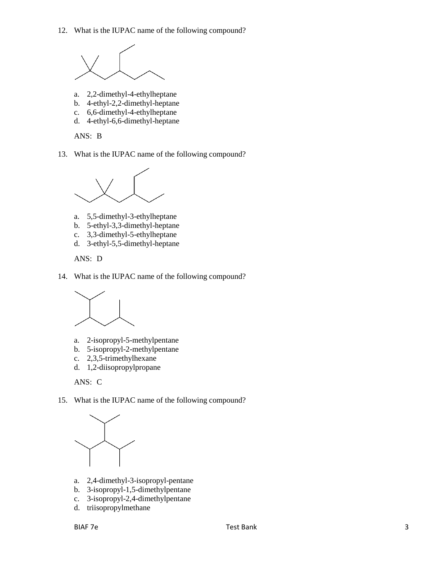12. What is the IUPAC name of the following compound?



- a. 2,2-dimethyl-4-ethylheptane
- b. 4-ethyl-2,2-dimethyl-heptane
- c. 6,6-dimethyl-4-ethylheptane
- d. 4-ethyl-6,6-dimethyl-heptane

ANS: B

13. What is the IUPAC name of the following compound?



- a. 5,5-dimethyl-3-ethylheptane
- b. 5-ethyl-3,3-dimethyl-heptane
- c. 3,3-dimethyl-5-ethylheptane
- d. 3-ethyl-5,5-dimethyl-heptane

ANS: D

14. What is the IUPAC name of the following compound?



- a. 2-isopropyl-5-methylpentane
- b. 5-isopropyl-2-methylpentane
- c. 2,3,5-trimethylhexane
- d. 1,2-diisopropylpropane

ANS: C

15. What is the IUPAC name of the following compound?



- a. 2,4-dimethyl-3-isopropyl-pentane
- b. 3-isopropyl-1,5-dimethylpentane
- c. 3-isopropyl-2,4-dimethylpentane
- d. triisopropylmethane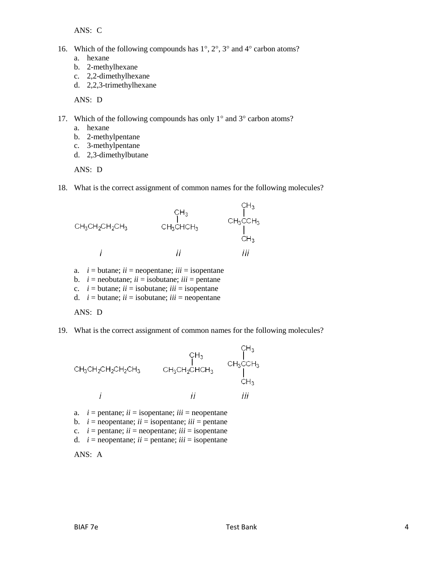ANS: C

- 16. Which of the following compounds has  $1^\circ$ ,  $2^\circ$ ,  $3^\circ$  and  $4^\circ$  carbon atoms?
	- a. hexane
	- b. 2-methylhexane
	- c. 2,2-dimethylhexane
	- d. 2,2,3-trimethylhexane

ANS: D

- 17. Which of the following compounds has only  $1^{\circ}$  and  $3^{\circ}$  carbon atoms?
	- a. hexane
	- b. 2-methylpentane
	- c. 3-methylpentane
	- d. 2,3-dimethylbutane

ANS: D

18. What is the correct assignment of common names for the following molecules?



- a.  $i =$  butane;  $ii =$  neopentane;  $iii =$  isopentane
- b.  $i =$  neobutane;  $ii =$  isobutane;  $iii =$  pentane
- c.  $i =$  butane;  $ii =$  isobutane;  $iii =$  isopentane
- d.  $i =$  butane;  $ii =$  isobutane;  $iii =$  neopentane

 $ANS: D$ 

19. What is the correct assignment of common names for the following molecules?



- a.  $i =$  pentane;  $ii =$  isopentane;  $iii =$  neopentane
- b.  $i =$  neopentane;  $ii =$  isopentane;  $iii =$  pentane
- c.  $i =$  pentane;  $ii =$  neopentane;  $iii =$  isopentane
- d.  $i =$  neopentane;  $ii =$  pentane;  $iii =$  isopentane

ANS: A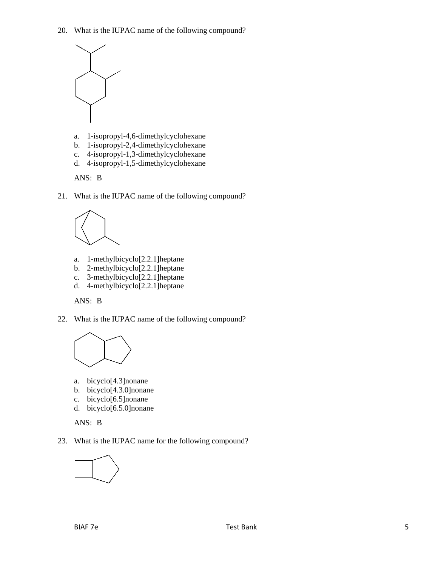20. What is the IUPAC name of the following compound?



- a. 1-isopropyl-4,6-dimethylcyclohexane
- b. 1-isopropyl-2,4-dimethylcyclohexane
- c. 4-isopropyl-1,3-dimethylcyclohexane
- d. 4-isopropyl-1,5-dimethylcyclohexane

ANS: B

21. What is the IUPAC name of the following compound?



- a. 1-methylbicyclo[2.2.1]heptane
- b. 2-methylbicyclo[2.2.1]heptane
- c. 3-methylbicyclo[2.2.1]heptane
- d. 4-methylbicyclo[2.2.1]heptane



22. What is the IUPAC name of the following compound?



- a. bicyclo[4.3]nonane
- b. bicyclo[4.3.0]nonane
- c. bicyclo[6.5]nonane
- d. bicyclo[6.5.0]nonane

ANS: B

23. What is the IUPAC name for the following compound?

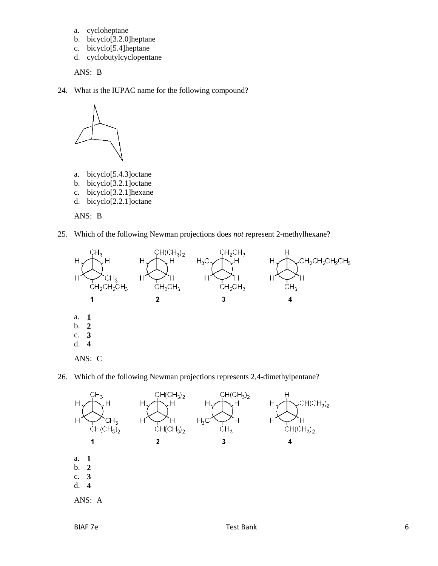- a. cycloheptane
- b. bicyclo[3.2.0]heptane
- c. bicyclo[5.4]heptane
- d. cyclobutylcyclopentane

ANS: B

24. What is the IUPAC name for the following compound?



- a. bicyclo[5.4.3]octane
- b. bicyclo[3.2.1]octane
- c. bicyclo[3.2.1]hexane
- d. bicyclo[2.2.1]octane

ANS: B

25. Which of the following Newman projections does *not* represent 2-methylhexane?



26. Which of the following Newman projections represents 2,4-dimethylpentane?

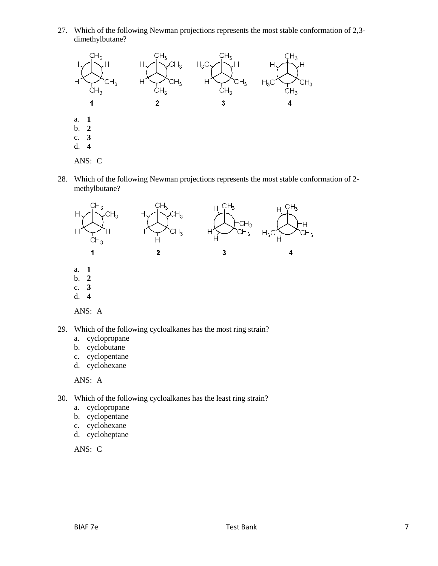27. Which of the following Newman projections represents the most stable conformation of 2,3 dimethylbutane?



28. Which of the following Newman projections represents the most stable conformation of 2 methylbutane?



- 29. Which of the following cycloalkanes has the most ring strain?
	- a. cyclopropane
	- b. cyclobutane
	- c. cyclopentane
	- d. cyclohexane

ANS: A

- 30. Which of the following cycloalkanes has the least ring strain?
	- a. cyclopropane
	- b. cyclopentane
	- c. cyclohexane
	- d. cycloheptane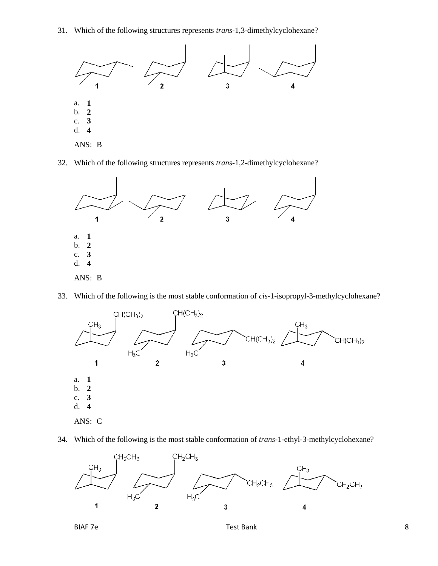31. Which of the following structures represents *trans-*1,3-dimethylcyclohexane?



32. Which of the following structures represents *trans-*1,2-dimethylcyclohexane?



33. Which of the following is the most stable conformation of *cis-*1-isopropyl-3-methylcyclohexane?



34. Which of the following is the most stable conformation of *trans-*1-ethyl-3-methylcyclohexane?



BIAF 7e and 1990 and 1991 and 1991 and 1991 and 1991 and 1991 and 1991 and 1991 and 1991 and 1991 and 1991 and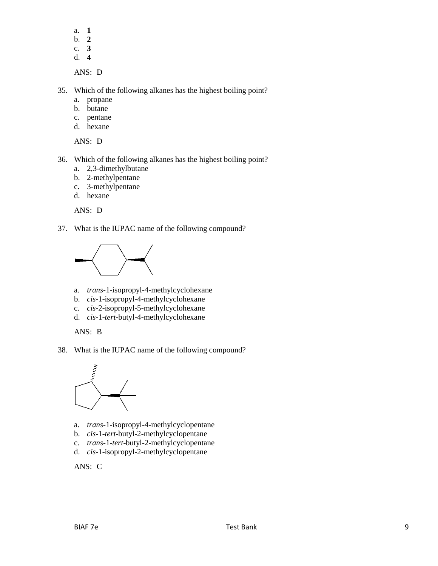- a. **1**
- b. **2**
- c. **3**
- d. **4**

ANS: D

35. Which of the following alkanes has the highest boiling point?

- a. propane
- b. butane
- c. pentane
- d. hexane

ANS: D

36. Which of the following alkanes has the highest boiling point?

- a. 2,3-dimethylbutane
- b. 2-methylpentane
- c. 3-methylpentane
- d. hexane

ANS: D

37. What is the IUPAC name of the following compound?



- a. *trans-*1-isopropyl-4-methylcyclohexane
- b. *cis-*1-isopropyl-4-methylcyclohexane
- c. *cis-*2-isopropyl-5-methylcyclohexane
- d. *cis-*1-*tert*-butyl-4-methylcyclohexane

ANS: B

38. What is the IUPAC name of the following compound?



- a. *trans-*1-isopropyl-4-methylcyclopentane
- b. *cis-*1-*tert*-butyl-2-methylcyclopentane
- c. *trans-*1-*tert*-butyl-2-methylcyclopentane
- d. *cis-*1-isopropyl-2-methylcyclopentane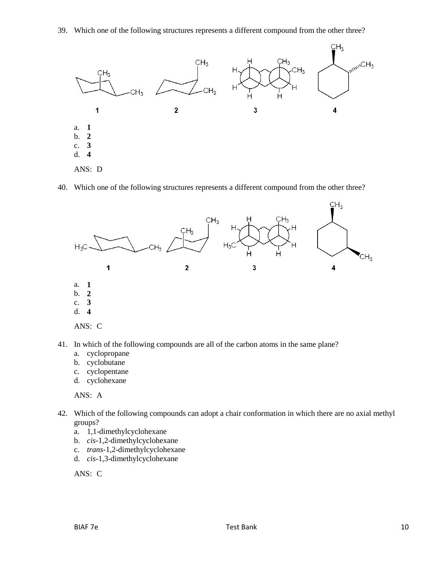39. Which one of the following structures represents a different compound from the other three?



40. Which one of the following structures represents a different compound from the other three?





- 41. In which of the following compounds are all of the carbon atoms in the same plane?
	- a. cyclopropane
	- b. cyclobutane
	- c. cyclopentane
	- d. cyclohexane

ANS: A

- 42. Which of the following compounds can adopt a chair conformation in which there are no axial methyl groups?
	- a. 1,1-dimethylcyclohexane
	- b. *cis-*1,2-dimethylcyclohexane
	- c. *trans-*1,2-dimethylcyclohexane
	- d. *cis-*1,3-dimethylcyclohexane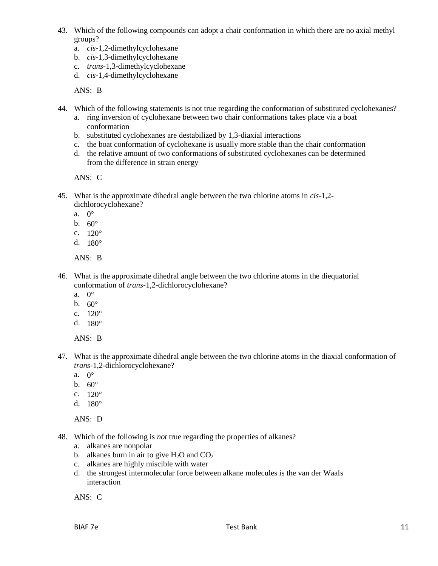- 43. Which of the following compounds can adopt a chair conformation in which there are no axial methyl groups?
	- a. *cis-*1,2-dimethylcyclohexane
	- b. *cis-*1,3-dimethylcyclohexane
	- c. *trans-*1,3-dimethylcyclohexane
	- d. *cis-*1,4-dimethylcyclohexane

ANS: B

- 44. Which of the following statements is not true regarding the conformation of substituted cyclohexanes?
	- a. ring inversion of cyclohexane between two chair conformations takes place via a boat conformation
	- b. substituted cyclohexanes are destabilized by 1,3-diaxial interactions
	- c. the boat conformation of cyclohexane is usually more stable than the chair conformation
	- d. the relative amount of two conformations of substituted cyclohexanes can be determined from the difference in strain energy

ANS: C

- 45. What is the approximate dihedral angle between the two chlorine atoms in *cis*-1,2 dichlorocyclohexane?
	- a.  $0^{\circ}$
	- b.  $60^{\circ}$
	- c.  $120^{\circ}$
	- d.  $180^{\circ}$

ANS: B

- 46. What is the approximate dihedral angle between the two chlorine atoms in the diequatorial conformation of *trans-*1,2-dichlorocyclohexane?
	- a.  $0^{\circ}$
	- b.  $60^{\circ}$
	- c.  $120^{\circ}$
	- d.  $180^{\circ}$

ANS: B

- 47. What is the approximate dihedral angle between the two chlorine atoms in the diaxial conformation of *trans-*1,2-dichlorocyclohexane?
	- a. 0
	- b.  $60^{\circ}$
	- c.  $120^{\circ}$
	- d.  $180^{\circ}$

ANS: D

- 48. Which of the following is *not* true regarding the properties of alkanes?
	- a. alkanes are nonpolar
	- b. alkanes burn in air to give  $H_2O$  and  $CO_2$
	- c. alkanes are highly miscible with water
	- d. the strongest intermolecular force between alkane molecules is the van der Waals interaction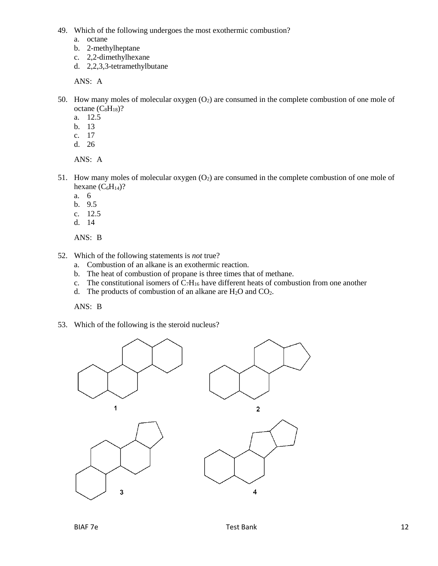49. Which of the following undergoes the most exothermic combustion?

- a. octane
- b. 2-methylheptane
- c. 2,2-dimethylhexane
- d. 2,2,3,3-tetramethylbutane

ANS: A

- 50. How many moles of molecular oxygen  $(O_2)$  are consumed in the complete combustion of one mole of octane  $(C_8H_{18})$ ?
	- a. 12.5
	- b. 13
	- c. 17
	- d. 26

ANS: A

- 51. How many moles of molecular oxygen  $(O_2)$  are consumed in the complete combustion of one mole of hexane  $(C_6H_{14})$ ?
	- a. 6
	- b. 9.5
	- c. 12.5
	- d. 14

ANS: B

- 52. Which of the following statements is *not* true?
	- a. Combustion of an alkane is an exothermic reaction.
	- b. The heat of combustion of propane is three times that of methane.
	- c. The constitutional isomers of  $C_7H_{16}$  have different heats of combustion from one another
	- d. The products of combustion of an alkane are  $H_2O$  and  $CO_2$ .

ANS: B

53. Which of the following is the steroid nucleus?

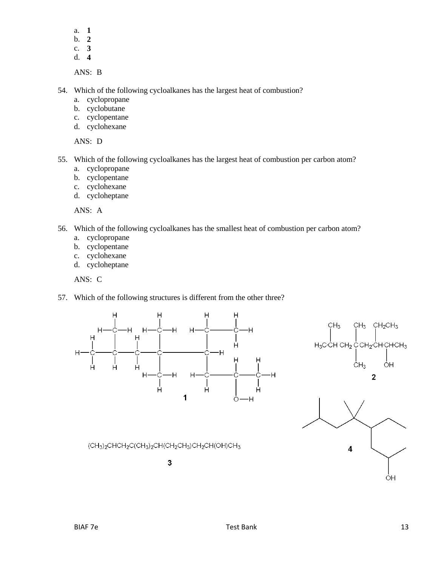- a. **1**
- b. **2**
- c. **3**
- d. **4**

ANS: B

- 54. Which of the following cycloalkanes has the largest heat of combustion?
	- a. cyclopropane
	- b. cyclobutane
	- c. cyclopentane
	- d. cyclohexane

ANS: D

- 55. Which of the following cycloalkanes has the largest heat of combustion per carbon atom?
	- a. cyclopropane
	- b. cyclopentane
	- c. cyclohexane
	- d. cycloheptane

ANS: A

- 56. Which of the following cycloalkanes has the smallest heat of combustion per carbon atom?
	- a. cyclopropane
	- b. cyclopentane
	- c. cyclohexane
	- d. cycloheptane

ANS: C

57. Which of the following structures is different from the other three?

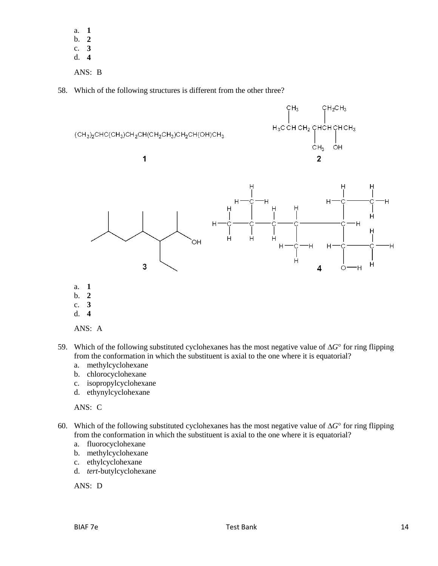a. **1** b. **2** c. **3** d. **4**

ANS: B

58. Which of the following structures is different from the other three?





- b. **2**
- c. **3**
- d. **4**



- 59. Which of the following substituted cyclohexanes has the most negative value of  $\Delta G^{\circ}$  for ring flipping from the conformation in which the substituent is axial to the one where it is equatorial?
	- a. methylcyclohexane
	- b. chlorocyclohexane
	- c. isopropylcyclohexane
	- d. ethynylcyclohexane

ANS: C

- 60. Which of the following substituted cyclohexanes has the most negative value of  $\Delta G^{\circ}$  for ring flipping from the conformation in which the substituent is axial to the one where it is equatorial?
	- a. fluorocyclohexane
	- b. methylcyclohexane
	- c. ethylcyclohexane
	- d. *tert-*butylcyclohexane

ANS: D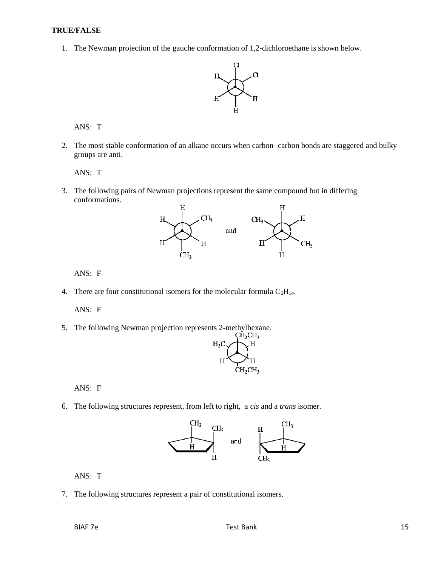#### **TRUE/FALSE**

1. The Newman projection of the gauche conformation of 1,2-dichloroethane is shown below.



ANS: T

2. The most stable conformation of an alkane occurs when carbon-carbon bonds are staggered and bulky groups are anti.

ANS: T

3. The following pairs of Newman projections represent the same compound but in differing conformations.



ANS: F

4. There are four constitutional isomers for the molecular formula  $C_6H_{14}$ .

ANS: F

5. The following Newman projection represents 2-methylhexane.<br>CH<sub>2</sub>CH<sub>3</sub>



ANS: F

6. The following structures represent, from left to right, a *cis* and a *trans* isomer.



ANS: T

7. The following structures represent a pair of constitutional isomers.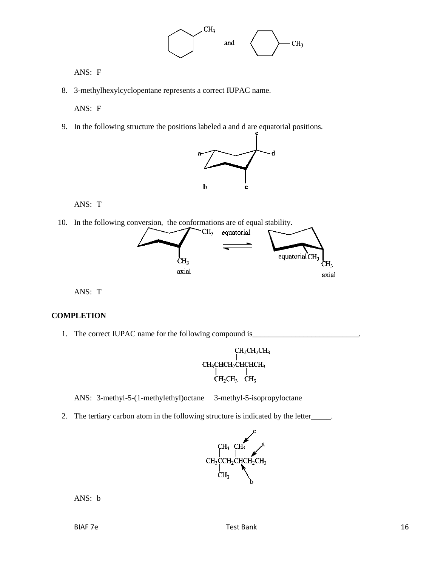

ANS: F

8. 3-methylhexylcyclopentane represents a correct IUPAC name.

ANS: F

9. In the following structure the positions labeled a and d are equatorial positions.



ANS: T

10. In the following conversion, the conformations are of equal stability.



ANS: T

#### **COMPLETION**

1. The correct IUPAC name for the following compound is\_\_\_\_\_\_\_\_\_\_\_\_\_\_\_\_\_\_\_\_\_\_\_\_\_\_



ANS: 3-methyl-5-(1-methylethyl)octane 3-methyl-5-isopropyloctane

2. The tertiary carbon atom in the following structure is indicated by the letter\_\_\_\_\_.



ANS: b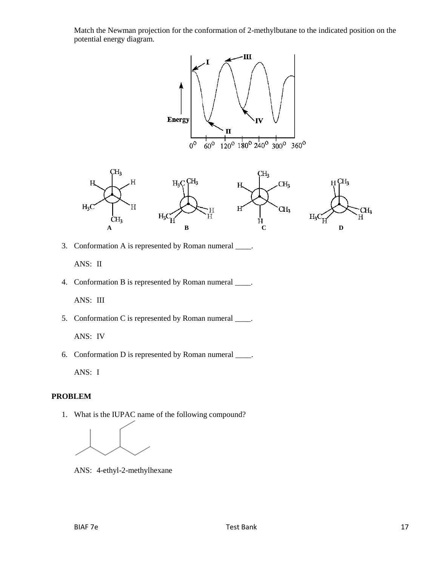Match the Newman projection for the conformation of 2-methylbutane to the indicated position on the potential energy diagram.





3. Conformation A is represented by Roman numeral \_\_\_\_.

ANS: II

4. Conformation B is represented by Roman numeral \_\_\_\_.

ANS: III

5. Conformation C is represented by Roman numeral \_\_\_\_.

ANS: IV

6. Conformation D is represented by Roman numeral \_\_\_\_.

ANS: I

#### **PROBLEM**

1. What is the IUPAC name of the following compound?

ANS: 4-ethyl-2-methylhexane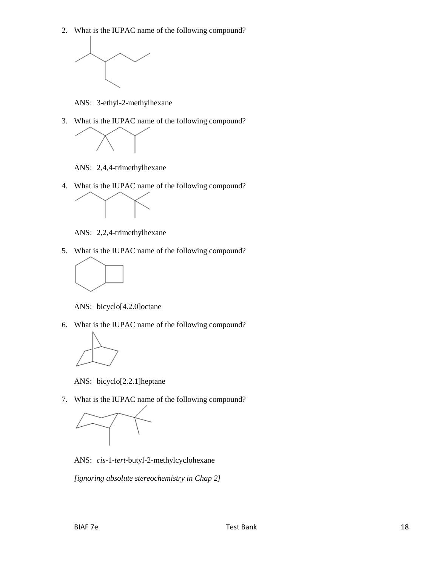2. What is the IUPAC name of the following compound?



ANS: 3-ethyl-2-methylhexane

3. What is the IUPAC name of the following compound?



ANS: 2,4,4-trimethylhexane

4. What is the IUPAC name of the following compound?



ANS: 2,2,4-trimethylhexane

5. What is the IUPAC name of the following compound?



ANS: bicyclo[4.2.0]octane

6. What is the IUPAC name of the following compound?



ANS: bicyclo[2.2.1]heptane

7. What is the IUPAC name of the following compound?



ANS: *cis*-1-*tert*-butyl-2-methylcyclohexane

*[ignoring absolute stereochemistry in Chap 2]*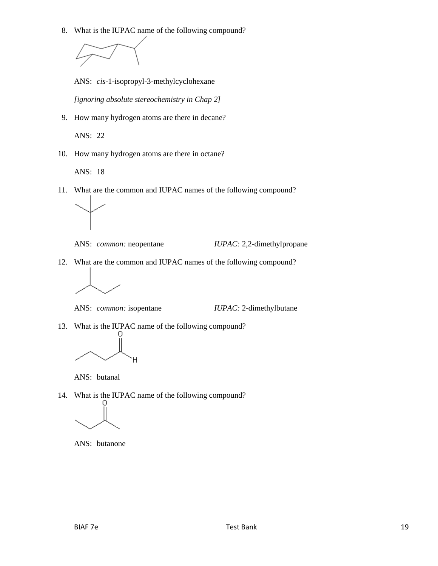8. What is the IUPAC name of the following compound?



ANS: *cis*-1-isopropyl-3-methylcyclohexane

*[ignoring absolute stereochemistry in Chap 2]*

9. How many hydrogen atoms are there in decane?

ANS: 22

10. How many hydrogen atoms are there in octane?

ANS: 18

11. What are the common and IUPAC names of the following compound?



ANS: *common:* neopentane *IUPAC:* 2,2-dimethylpropane

12. What are the common and IUPAC names of the following compound?



ANS: *common:* isopentane *IUPAC:* 2-dimethylbutane

13. What is the IUPAC name of the following compound?



ANS: butanal

14. What is the IUPAC name of the following compound?



ANS: butanone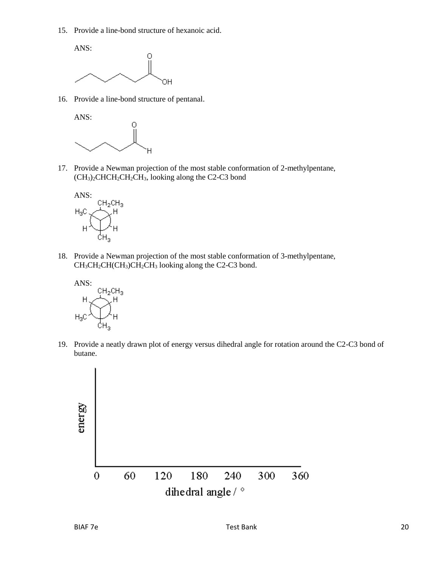15. Provide a line-bond structure of hexanoic acid.



16. Provide a line-bond structure of pentanal.



17. Provide a Newman projection of the most stable conformation of 2-methylpentane,  $(CH<sub>3</sub>)<sub>2</sub>CHCH<sub>2</sub>CH<sub>2</sub>CH<sub>3</sub>$ , looking along the C2-C3 bond



18. Provide a Newman projection of the most stable conformation of 3-methylpentane,  $CH_3CH_2CH(CH_3)CH_2CH_3$  looking along the C2-C3 bond.



19. Provide a neatly drawn plot of energy versus dihedral angle for rotation around the C2-C3 bond of butane.